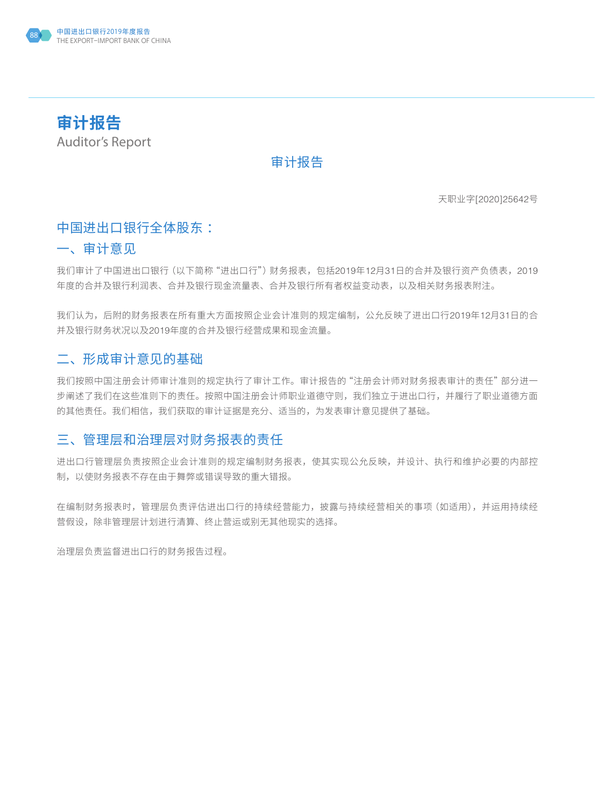

**审计报告** Auditor's Report

审计报告

天职业字[2020]25642号

# 中国进出口银行全体股东 :

### 一、审计意见

我们审计了中国进出口银行(以下简称"进出口行")财务报表,包括2019年12月31日的合并及银行资产负债表,2019 年度的合并及银行利润表、合并及银行现金流量表、合并及银行所有者权益变动表,以及相关财务报表附注。

我们认为,后附的财务报表在所有重大方面按照企业会计准则的规定编制,公允反映了进出口行2019年12月31日的合 并及银行财务状况以及2019年度的合并及银行经营成果和现金流量。

### 二、形成审计意见的基础

我们按照中国注册会计师审计准则的规定执行了审计工作。审计报告的"注册会计师对财务报表审计的责任"部分进一 步阐述了我们在这些准则下的责任。按照中国注册会计师职业道德守则,我们独立于进出口行,并履行了职业道德方面 的其他责任。我们相信,我们获取的审计证据是充分、适当的,为发表审计意见提供了基础。

# 三、管理层和治理层对财务报表的责任

进出口行管理层负责按照企业会计准则的规定编制财务报表,使其实现公允反映,并设计、执行和维护必要的内部控 制,以使财务报表不存在由于舞弊或错误导致的重大错报。

在编制财务报表时,管理层负责评估进出口行的持续经营能力,披露与持续经营相关的事项(如适用),并运用持续经 营假设,除非管理层计划进行清算、终止营运或别无其他现实的选择。

治理层负责监督进出口行的财务报告过程。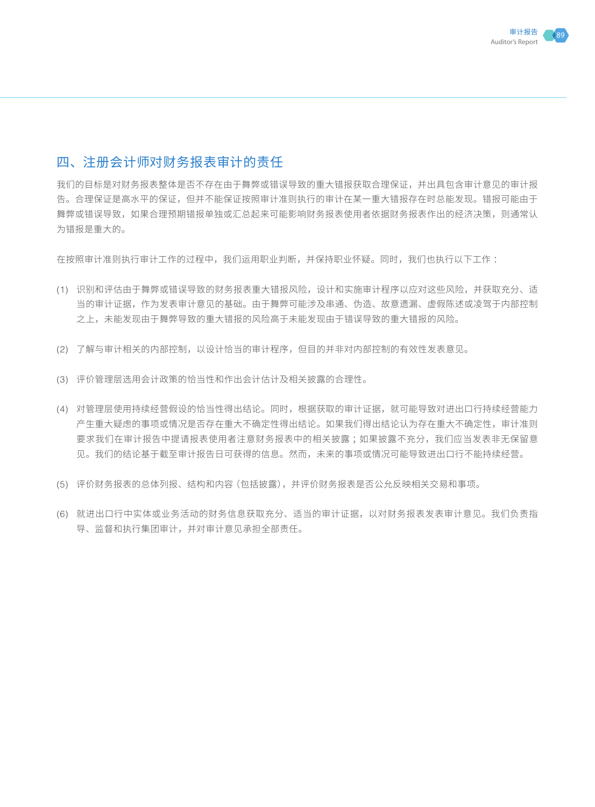

# 四、注册会计师对财务报表审计的责任

我们的目标是对财务报表整体是否不存在由于舞弊或错误导致的重大错报获取合理保证,并出具包含审计意见的审计报 告。合理保证是高水平的保证,但并不能保证按照审计准则执行的审计在某一重大错报存在时总能发现。错报可能由于 舞弊或错误导致,如果合理预期错报单独或汇总起来可能影响财务报表使用者依据财务报表作出的经济决策,则通常认 为错报是重大的。

在按照审计准则执行审计工作的过程中,我们运用职业判断,并保持职业怀疑。同时,我们也执行以下工作:

- (1) 识别和评估由于舞弊或错误导致的财务报表重大错报风险,设计和实施审计程序以应对这些风险,并获取充分、适 当的审计证据,作为发表审计意见的基础。由于舞弊可能涉及串通、伪造、故意遗漏、虚假陈述或凌驾于内部控制 之上,未能发现由于舞弊导致的重大错报的风险高于未能发现由于错误导致的重大错报的风险。
- (2) 了解与审计相关的内部控制,以设计恰当的审计程序,但目的并非对内部控制的有效性发表意见。
- (3) 评价管理层选用会计政策的恰当性和作出会计估计及相关披露的合理性。
- (4) 对管理层使用持续经营假设的恰当性得出结论。同时,根据获取的审计证据,就可能导致对进出口行持续经营能力 产生重大疑虑的事项或情况是否存在重大不确定性得出结论。如果我们得出结论认为存在重大不确定性,审计准则 要求我们在审计报告中提请报表使用者注意财务报表中的相关披露 ;如果披露不充分,我们应当发表非无保留意 见。我们的结论基于截至审计报告日可获得的信息。然而,未来的事项或情况可能导致进出口行不能持续经营。
- (5) 评价财务报表的总体列报、结构和内容(包括披露),并评价财务报表是否公允反映相关交易和事项。
- (6) 就进出口行中实体或业务活动的财务信息获取充分、适当的审计证据,以对财务报表发表审计意见。我们负责指 导、监督和执行集团审计,并对审计意见承担全部责任。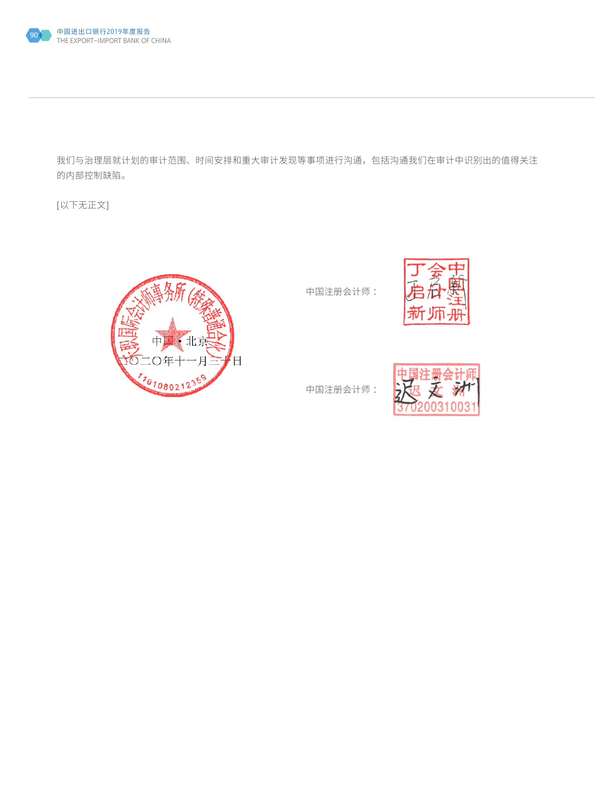

我们与治理层就计划的审计范围、时间安排和重大审计发现等事项进行沟通,包括沟通我们在审计中识别出的值得关注 的内部控制缺陷。

[以下无正文]



中国注册会计师 :



中国注册会计师 :

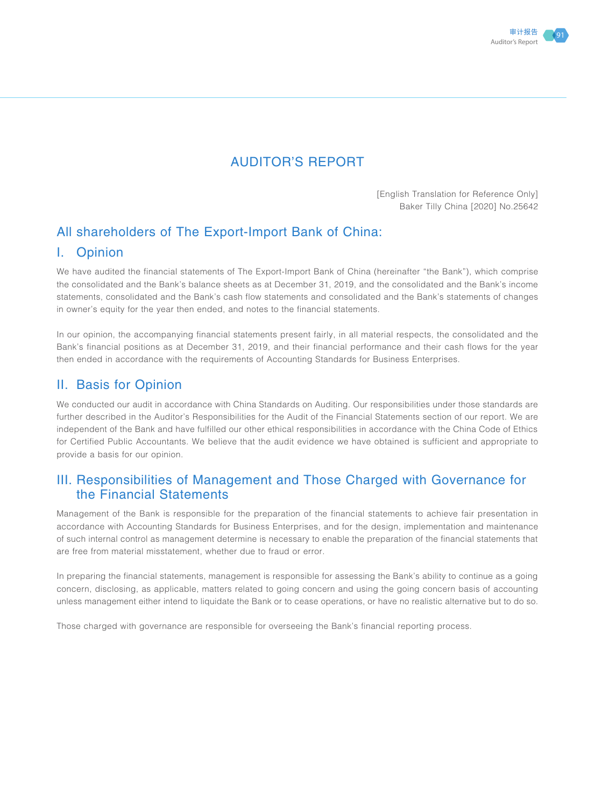

# AUDITOR'S REPORT

[English Translation for Reference Only] Baker Tilly China [2020] No.25642

# All shareholders of The Export-Import Bank of China:

#### I. Opinion

We have audited the financial statements of The Export-Import Bank of China (hereinafter "the Bank"), which comprise the consolidated and the Bank's balance sheets as at December 31, 2019, and the consolidated and the Bank's income statements, consolidated and the Bank's cash flow statements and consolidated and the Bank's statements of changes in owner's equity for the year then ended, and notes to the financial statements.

In our opinion, the accompanying financial statements present fairly, in all material respects, the consolidated and the Bank's financial positions as at December 31, 2019, and their financial performance and their cash flows for the year then ended in accordance with the requirements of Accounting Standards for Business Enterprises.

### II. Basis for Opinion

We conducted our audit in accordance with China Standards on Auditing. Our responsibilities under those standards are further described in the Auditor's Responsibilities for the Audit of the Financial Statements section of our report. We are independent of the Bank and have fulfilled our other ethical responsibilities in accordance with the China Code of Ethics for Certified Public Accountants. We believe that the audit evidence we have obtained is sufficient and appropriate to provide a basis for our opinion.

### III. Responsibilities of Management and Those Charged with Governance for the Financial Statements

Management of the Bank is responsible for the preparation of the financial statements to achieve fair presentation in accordance with Accounting Standards for Business Enterprises, and for the design, implementation and maintenance of such internal control as management determine is necessary to enable the preparation of the financial statements that are free from material misstatement, whether due to fraud or error.

In preparing the financial statements, management is responsible for assessing the Bank's ability to continue as a going concern, disclosing, as applicable, matters related to going concern and using the going concern basis of accounting unless management either intend to liquidate the Bank or to cease operations, or have no realistic alternative but to do so.

Those charged with governance are responsible for overseeing the Bank's financial reporting process.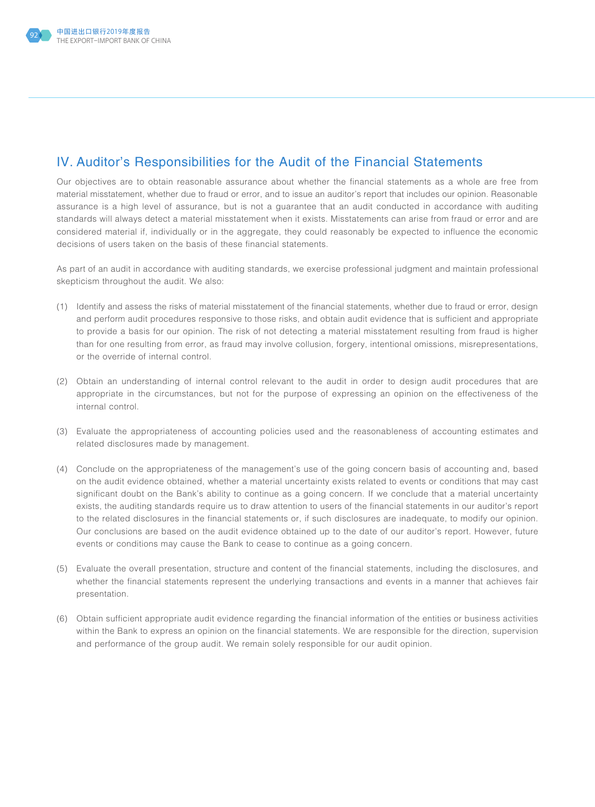

# IV. Auditor's Responsibilities for the Audit of the Financial Statements

Our objectives are to obtain reasonable assurance about whether the financial statements as a whole are free from material misstatement, whether due to fraud or error, and to issue an auditor's report that includes our opinion. Reasonable assurance is a high level of assurance, but is not a guarantee that an audit conducted in accordance with auditing standards will always detect a material misstatement when it exists. Misstatements can arise from fraud or error and are considered material if, individually or in the aggregate, they could reasonably be expected to influence the economic decisions of users taken on the basis of these financial statements.

As part of an audit in accordance with auditing standards, we exercise professional judgment and maintain professional skepticism throughout the audit. We also:

- (1) Identify and assess the risks of material misstatement of the financial statements, whether due to fraud or error, design and perform audit procedures responsive to those risks, and obtain audit evidence that is sufficient and appropriate to provide a basis for our opinion. The risk of not detecting a material misstatement resulting from fraud is higher than for one resulting from error, as fraud may involve collusion, forgery, intentional omissions, misrepresentations, or the override of internal control.
- (2) Obtain an understanding of internal control relevant to the audit in order to design audit procedures that are appropriate in the circumstances, but not for the purpose of expressing an opinion on the effectiveness of the internal control.
- (3) Evaluate the appropriateness of accounting policies used and the reasonableness of accounting estimates and related disclosures made by management.
- (4) Conclude on the appropriateness of the management's use of the going concern basis of accounting and, based on the audit evidence obtained, whether a material uncertainty exists related to events or conditions that may cast significant doubt on the Bank's ability to continue as a going concern. If we conclude that a material uncertainty exists, the auditing standards require us to draw attention to users of the financial statements in our auditor's report to the related disclosures in the financial statements or, if such disclosures are inadequate, to modify our opinion. Our conclusions are based on the audit evidence obtained up to the date of our auditor's report. However, future events or conditions may cause the Bank to cease to continue as a going concern.
- (5) Evaluate the overall presentation, structure and content of the financial statements, including the disclosures, and whether the financial statements represent the underlying transactions and events in a manner that achieves fair presentation.
- (6) Obtain sufficient appropriate audit evidence regarding the financial information of the entities or business activities within the Bank to express an opinion on the financial statements. We are responsible for the direction, supervision and performance of the group audit. We remain solely responsible for our audit opinion.